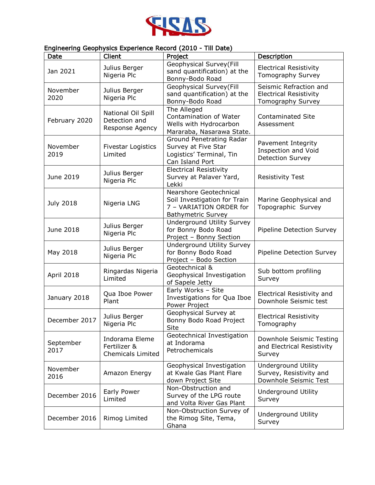

## Engineering Geophysics Experience Record (2010 - Till Date)

| Date              | Client                                                     | Project                                                                                                        | Description                                                                  |
|-------------------|------------------------------------------------------------|----------------------------------------------------------------------------------------------------------------|------------------------------------------------------------------------------|
| Jan 2021          | Julius Berger<br>Nigeria Plc                               | Geophysical Survey(Fill<br>sand quantification) at the<br>Bonny-Bodo Road                                      | <b>Electrical Resistivity</b><br>Tomography Survey                           |
| November<br>2020  | Julius Berger<br>Nigeria Plc                               | Geophysical Survey(Fill<br>sand quantification) at the<br>Bonny-Bodo Road                                      | Seismic Refraction and<br><b>Electrical Resistivity</b><br>Tomography Survey |
| February 2020     | National Oil Spill<br>Detection and<br>Response Agency     | The Alleged<br>Contamination of Water<br>Wells with Hydrocarbon<br>Mararaba, Nasarawa State.                   | <b>Contaminated Site</b><br>Assessment                                       |
| November<br>2019  | <b>Fivestar Logistics</b><br>Limited                       | Ground Penetrating Radar<br>Survey at Five Star<br>Logistics' Terminal, Tin<br>Can Island Port                 | Pavement Integrity<br>Inspection and Void<br><b>Detection Survey</b>         |
| June 2019         | Julius Berger<br>Nigeria Plc                               | <b>Electrical Resistivity</b><br>Survey at Palaver Yard,<br>Lekki                                              | <b>Resistivity Test</b>                                                      |
| <b>July 2018</b>  | Nigeria LNG                                                | Nearshore Geotechnical<br>Soil Investigation for Train<br>7 - VARIATION ORDER for<br><b>Bathymetric Survey</b> | Marine Geophysical and<br>Topographic Survey                                 |
| June 2018         | Julius Berger<br>Nigeria Plc                               | <b>Underground Utility Survey</b><br>for Bonny Bodo Road<br>Project - Bonny Section                            | Pipeline Detection Survey                                                    |
| May 2018          | Julius Berger<br>Nigeria Plc                               | <b>Underground Utility Survey</b><br>for Bonny Bodo Road<br>Project - Bodo Section                             | Pipeline Detection Survey                                                    |
| April 2018        | Ringardas Nigeria<br>Limited                               | Geotechnical &<br>Geophysical Investigation<br>of Sapele Jetty                                                 | Sub bottom profiling<br>Survey                                               |
| January 2018      | Qua Iboe Power<br>Plant                                    | Early Works - Site<br>Investigations for Qua Iboe<br>Power Project                                             | Electrical Resistivity and<br>Downhole Seismic test                          |
| December 2017     | Julius Berger<br>Nigeria Plc                               | Geophysical Survey at<br>Bonny Bodo Road Project<br>Site                                                       | <b>Electrical Resistivity</b><br>Tomography                                  |
| September<br>2017 | Indorama Eleme<br>Fertilizer &<br><b>Chemicals Limited</b> | Geotechnical Investigation<br>at Indorama<br>Petrochemicals                                                    | Downhole Seismic Testing<br>and Electrical Resistivity<br>Survey             |
| November<br>2016  | Amazon Energy                                              | Geophysical Investigation<br>at Kwale Gas Plant Flare<br>down Project Site                                     | Underground Utility<br>Survey, Resistivity and<br>Downhole Seismic Test      |
| December 2016     | Early Power<br>Limited                                     | Non-Obstruction and<br>Survey of the LPG route<br>and Volta River Gas Plant                                    | Underground Utility<br>Survey                                                |
| December 2016     | Rimog Limited                                              | Non-Obstruction Survey of<br>the Rimog Site, Tema,<br>Ghana                                                    | Underground Utility<br>Survey                                                |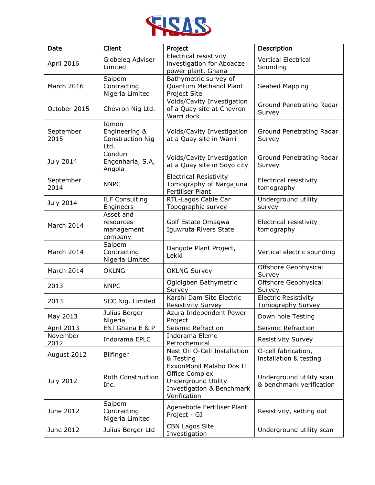

| Date              | Client                                                    | Project                                                                                                               | Description                                          |
|-------------------|-----------------------------------------------------------|-----------------------------------------------------------------------------------------------------------------------|------------------------------------------------------|
| April 2016        | Globeleg Adviser<br>Limited                               | Electrical resistivity<br>investigation for Aboadze<br>power plant, Ghana                                             | <b>Vertical Electrical</b><br>Sounding               |
| March 2016        | Saipem<br>Contracting<br>Nigeria Limited                  | Bathymetric survey of<br>Quantum Methanol Plant<br>Project Site                                                       | Seabed Mapping                                       |
| October 2015      | Chevron Nig Ltd.                                          | Voids/Cavity Investigation<br>of a Quay site at Chevron<br>Warri dock                                                 | Ground Penetrating Radar<br>Survey                   |
| September<br>2015 | Idmon<br>Engineering &<br><b>Construction Nig</b><br>Ltd. | Voids/Cavity Investigation<br>at a Quay site in Warri                                                                 | Ground Penetrating Radar<br>Survey                   |
| <b>July 2014</b>  | Conduril<br>Engenharia, S.A,<br>Angola                    | Voids/Cavity Investigation<br>at a Quay site in Soyo city                                                             | Ground Penetrating Radar<br>Survey                   |
| September<br>2014 | <b>NNPC</b>                                               | <b>Electrical Resistivity</b><br>Tomography of Nargajuna<br><b>Fertiliser Plant</b>                                   | Electrical resistivity<br>tomography                 |
| <b>July 2014</b>  | <b>ILF Consulting</b><br>Engineers                        | RTL-Lagos Cable Car<br>Topographic survey                                                                             | Underground utility<br>survey                        |
| March 2014        | Asset and<br>resources<br>management<br>company           | Golf Estate Omagwa<br>Iguwruta Rivers State                                                                           | Electrical resistivity<br>tomography                 |
| March 2014        | Saipem<br>Contracting<br>Nigeria Limited                  | Dangote Plant Project,<br>Lekki                                                                                       | Vertical electric sounding                           |
| March 2014        | <b>OKLNG</b>                                              | <b>OKLNG Survey</b>                                                                                                   | Offshore Geophysical<br>Survey                       |
| 2013              | <b>NNPC</b>                                               | Ogidigben Bathymetric<br>Survey                                                                                       | Offshore Geophysical<br>Survey                       |
| 2013              | SCC Nig. Limited                                          | Karshi Dam Site Electric<br>Resistivity Survey                                                                        | <b>Electric Resistivity</b><br>Tomography Survey     |
| May 2013          | Julius Berger<br>Nigeria                                  | Azura Independent Power<br>Project                                                                                    | Down hole Testing                                    |
| April 2013        | ENI Ghana E & P                                           | Seismic Refraction                                                                                                    | Seismic Refraction                                   |
| November<br>2012  | Indorama EPLC                                             | Indorama Eleme<br>Petrochemical                                                                                       | Resistivity Survey                                   |
| August 2012       | Bilfinger                                                 | Nest Oil O-Cell Installation<br>& Testing                                                                             | O-cell fabrication,<br>installation & testing        |
| July 2012         | <b>Roth Construction</b><br>Inc.                          | ExxonMobil Malabo Dos II<br>Office Complex<br><b>Underground Utility</b><br>Investigation & Benchmark<br>Verification | Underground utility scan<br>& benchmark verification |
| June 2012         | Saipem<br>Contracting<br>Nigeria Limited                  | Agenebode Fertiliser Plant<br>Project - GI                                                                            | Resistivity, setting out                             |
| June 2012         | Julius Berger Ltd                                         | <b>CBN Lagos Site</b><br>Investigation                                                                                | Underground utility scan                             |